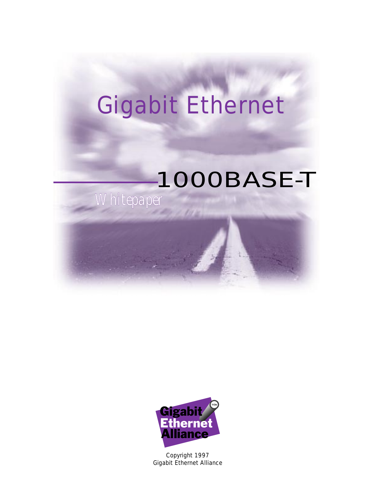# Gigabit Ethernet

**Cit in** 

# *Whitepaper* 1000BASE-T



Copyright 1997 Gigabit Ethernet Alliance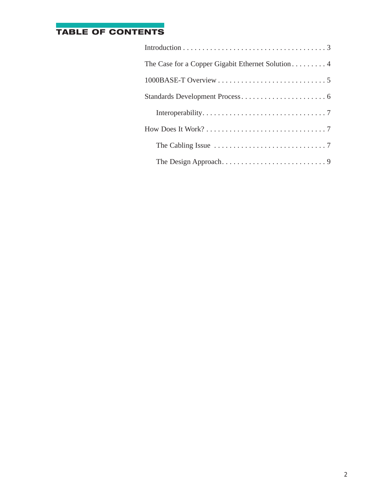## **TABLE OF CONTENTS**

| The Case for a Copper Gigabit Ethernet Solution 4                                  |
|------------------------------------------------------------------------------------|
|                                                                                    |
|                                                                                    |
|                                                                                    |
|                                                                                    |
| The Cabling Issue $\ldots \ldots \ldots \ldots \ldots \ldots \ldots \ldots \ldots$ |
|                                                                                    |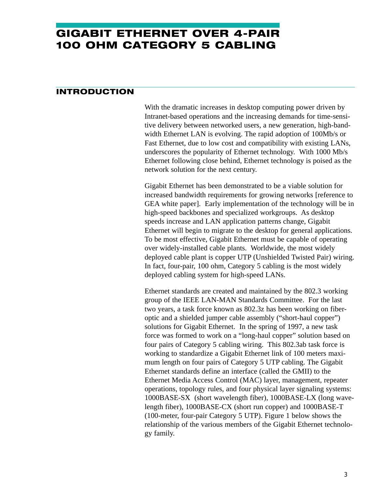# **GIGABIT ETHERNET OVER 4-PAIR 100 OHM CATEGORY 5 CABLING**

#### **INTRODUCTION**

With the dramatic increases in desktop computing power driven by Intranet-based operations and the increasing demands for time-sensitive delivery between networked users, a new generation, high-bandwidth Ethernet LAN is evolving. The rapid adoption of 100Mb/s or Fast Ethernet, due to low cost and compatibility with existing LANs, underscores the popularity of Ethernet technology. With 1000 Mb/s Ethernet following close behind, Ethernet technology is poised as the network solution for the next century.

Gigabit Ethernet has been demonstrated to be a viable solution for increased bandwidth requirements for growing networks [reference to GEA white paper]. Early implementation of the technology will be in high-speed backbones and specialized workgroups. As desktop speeds increase and LAN application patterns change, Gigabit Ethernet will begin to migrate to the desktop for general applications. To be most effective, Gigabit Ethernet must be capable of operating over widely-installed cable plants. Worldwide, the most widely deployed cable plant is copper UTP (Unshielded Twisted Pair) wiring. In fact, four-pair, 100 ohm, Category 5 cabling is the most widely deployed cabling system for high-speed LANs.

Ethernet standards are created and maintained by the 802.3 working group of the IEEE LAN-MAN Standards Committee. For the last two years, a task force known as 802.3z has been working on fiberoptic and a shielded jumper cable assembly ("short-haul copper") solutions for Gigabit Ethernet. In the spring of 1997, a new task force was formed to work on a "long-haul copper" solution based on four pairs of Category 5 cabling wiring. This 802.3ab task force is working to standardize a Gigabit Ethernet link of 100 meters maximum length on four pairs of Category 5 UTP cabling. The Gigabit Ethernet standards define an interface (called the GMII) to the Ethernet Media Access Control (MAC) layer, management, repeater operations, topology rules, and four physical layer signaling systems: 1000BASE-SX (short wavelength fiber), 1000BASE-LX (long wavelength fiber), 1000BASE-CX (short run copper) and 1000BASE-T (100-meter, four-pair Category 5 UTP). Figure 1 below shows the relationship of the various members of the Gigabit Ethernet technology family.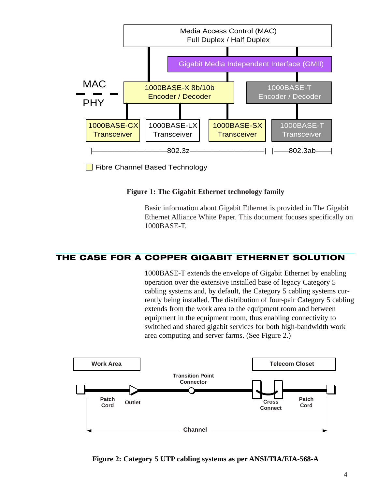

Fibre Channel Based Technology

#### **Figure 1: The Gigabit Ethernet technology family**

Basic information about Gigabit Ethernet is provided in The Gigabit Ethernet Alliance White Paper. This document focuses specifically on 1000BASE-T.

### **THE CASE FOR A COPPER GIGABIT ETHERNET SOLUTION**

1000BASE-T extends the envelope of Gigabit Ethernet by enabling operation over the extensive installed base of legacy Category 5 cabling systems and, by default, the Category 5 cabling systems currently being installed. The distribution of four-pair Category 5 cabling extends from the work area to the equipment room and between equipment in the equipment room, thus enabling connectivity to switched and shared gigabit services for both high-bandwidth work area computing and server farms. (See Figure 2.)



**Figure 2: Category 5 UTP cabling systems as per ANSI/TIA/EIA-568-A**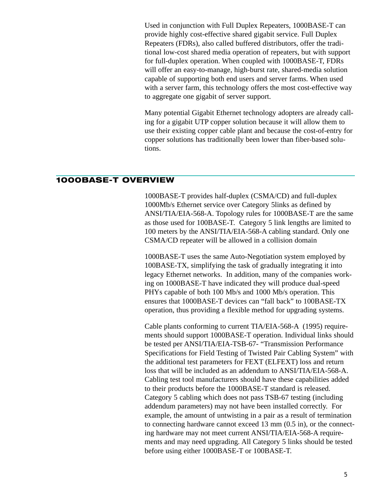Used in conjunction with Full Duplex Repeaters, 1000BASE-T can provide highly cost-effective shared gigabit service. Full Duplex Repeaters (FDRs), also called buffered distributors, offer the traditional low-cost shared media operation of repeaters, but with support for full-duplex operation. When coupled with 1000BASE-T, FDRs will offer an easy-to-manage, high-burst rate, shared-media solution capable of supporting both end users and server farms. When used with a server farm, this technology offers the most cost-effective way to aggregate one gigabit of server support.

Many potential Gigabit Ethernet technology adopters are already calling for a gigabit UTP copper solution because it will allow them to use their existing copper cable plant and because the cost-of-entry for copper solutions has traditionally been lower than fiber-based solutions.

#### **1000BASE-T OVERVIEW**

1000BASE-T provides half-duplex (CSMA/CD) and full-duplex 1000Mb/s Ethernet service over Category 5links as defined by ANSI/TIA/EIA-568-A. Topology rules for 1000BASE-T are the same as those used for 100BASE-T. Category 5 link lengths are limited to 100 meters by the ANSI/TIA/EIA-568-A cabling standard. Only one CSMA/CD repeater will be allowed in a collision domain

1000BASE-T uses the same Auto-Negotiation system employed by 100BASE-TX, simplifying the task of gradually integrating it into legacy Ethernet networks. In addition, many of the companies working on 1000BASE-T have indicated they will produce dual-speed PHYs capable of both 100 Mb/s and 1000 Mb/s operation. This ensures that 1000BASE-T devices can "fall back" to 100BASE-TX operation, thus providing a flexible method for upgrading systems.

Cable plants conforming to current TIA/EIA-568-A (1995) requirements should support 1000BASE-T operation. Individual links should be tested per ANSI/TIA/EIA-TSB-67- "Transmission Performance Specifications for Field Testing of Twisted Pair Cabling System" with the additional test parameters for FEXT (ELFEXT) loss and return loss that will be included as an addendum to ANSI/TIA/EIA-568-A. Cabling test tool manufacturers should have these capabilities added to their products before the 1000BASE-T standard is released. Category 5 cabling which does not pass TSB-67 testing (including addendum parameters) may not have been installed correctly. For example, the amount of untwisting in a pair as a result of termination to connecting hardware cannot exceed 13 mm (0.5 in), or the connecting hardware may not meet current ANSI/TIA/EIA-568-A requirements and may need upgrading. All Category 5 links should be tested before using either 1000BASE-T or 100BASE-T.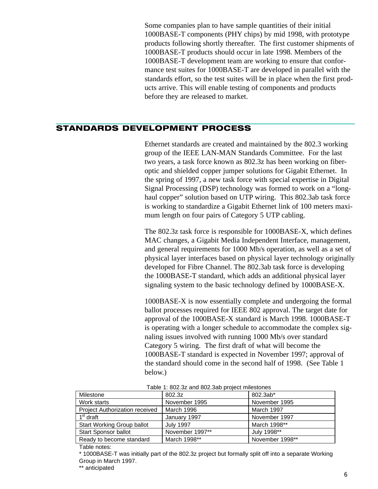Some companies plan to have sample quantities of their initial 1000BASE-T components (PHY chips) by mid 1998, with prototype products following shortly thereafter. The first customer shipments of 1000BASE-T products should occur in late 1998. Members of the 1000BASE-T development team are working to ensure that conformance test suites for 1000BASE-T are developed in parallel with the standards effort, so the test suites will be in place when the first products arrive. This will enable testing of components and products before they are released to market.

#### **STANDARDS DEVELOPMENT PROCESS**

Ethernet standards are created and maintained by the 802.3 working group of the IEEE LAN-MAN Standards Committee. For the last two years, a task force known as 802.3z has been working on fiberoptic and shielded copper jumper solutions for Gigabit Ethernet. In the spring of 1997, a new task force with special expertise in Digital Signal Processing (DSP) technology was formed to work on a "longhaul copper" solution based on UTP wiring. This 802.3ab task force is working to standardize a Gigabit Ethernet link of 100 meters maximum length on four pairs of Category 5 UTP cabling.

The 802.3z task force is responsible for 1000BASE-X, which defines MAC changes, a Gigabit Media Independent Interface, management, and general requirements for 1000 Mb/s operation, as well as a set of physical layer interfaces based on physical layer technology originally developed for Fibre Channel. The 802.3ab task force is developing the 1000BASE-T standard, which adds an additional physical layer signaling system to the basic technology defined by 1000BASE-X.

1000BASE-X is now essentially complete and undergoing the formal ballot processes required for IEEE 802 approval. The target date for approval of the 1000BASE-X standard is March 1998. 1000BASE-T is operating with a longer schedule to accommodate the complex signaling issues involved with running 1000 Mb/s over standard Category 5 wiring. The first draft of what will become the 1000BASE-T standard is expected in November 1997; approval of the standard should come in the second half of 1998. (See Table 1 below.)

| Milestone                      | 802.3z           | 802.3ab*        |  |
|--------------------------------|------------------|-----------------|--|
| Work starts                    | November 1995    | November 1995   |  |
| Project Authorization received | March 1996       | March 1997      |  |
| 1 <sup>st</sup> draft          | January 1997     | November 1997   |  |
| Start Working Group ballot     | <b>July 1997</b> | March 1998**    |  |
| <b>Start Sponsor ballot</b>    | November 1997**  | July 1998**     |  |
| Ready to become standard       | March 1998**     | November 1998** |  |

| Table 1: 802.3z and 802.3ab project milestones |  |  |
|------------------------------------------------|--|--|
|                                                |  |  |

Table notes:

\* 1000BASE-T was initially part of the 802.3z project but formally split off into a separate Working Group in March 1997.

\*\* anticipated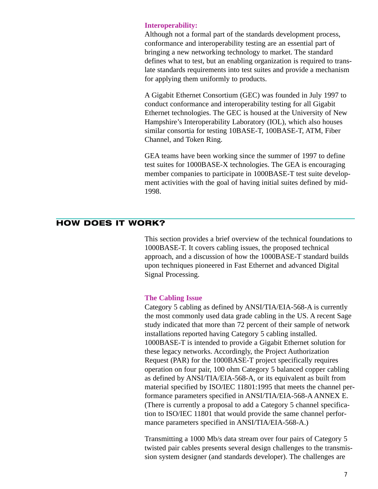#### **Interoperability:**

Although not a formal part of the standards development process, conformance and interoperability testing are an essential part of bringing a new networking technology to market. The standard defines what to test, but an enabling organization is required to translate standards requirements into test suites and provide a mechanism for applying them uniformly to products.

A Gigabit Ethernet Consortium (GEC) was founded in July 1997 to conduct conformance and interoperability testing for all Gigabit Ethernet technologies. The GEC is housed at the University of New Hampshire's Interoperability Laboratory (IOL), which also houses similar consortia for testing 10BASE-T, 100BASE-T, ATM, Fiber Channel, and Token Ring.

GEA teams have been working since the summer of 1997 to define test suites for 1000BASE-X technologies. The GEA is encouraging member companies to participate in 1000BASE-T test suite development activities with the goal of having initial suites defined by mid-1998.

#### **HOW DOES IT WORK?**

This section provides a brief overview of the technical foundations to 1000BASE-T. It covers cabling issues, the proposed technical approach, and a discussion of how the 1000BASE-T standard builds upon techniques pioneered in Fast Ethernet and advanced Digital Signal Processing.

#### **The Cabling Issue**

Category 5 cabling as defined by ANSI/TIA/EIA-568-A is currently the most commonly used data grade cabling in the US. A recent Sage study indicated that more than 72 percent of their sample of network installations reported having Category 5 cabling installed. 1000BASE-T is intended to provide a Gigabit Ethernet solution for these legacy networks. Accordingly, the Project Authorization Request (PAR) for the 1000BASE-T project specifically requires operation on four pair, 100 ohm Category 5 balanced copper cabling as defined by ANSI/TIA/EIA-568-A, or its equivalent as built from material specified by ISO/IEC 11801:1995 that meets the channel performance parameters specified in ANSI/TIA/EIA-568-A ANNEX E. (There is currently a proposal to add a Category 5 channel specification to ISO/IEC 11801 that would provide the same channel performance parameters specified in ANSI/TIA/EIA-568-A.)

Transmitting a 1000 Mb/s data stream over four pairs of Category 5 twisted pair cables presents several design challenges to the transmission system designer (and standards developer). The challenges are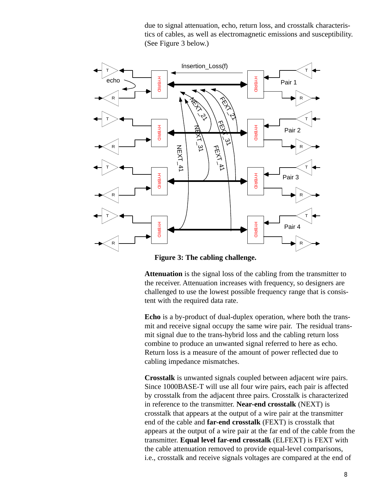due to signal attenuation, echo, return loss, and crosstalk characteristics of cables, as well as electromagnetic emissions and susceptibility. (See Figure 3 below.)



**Figure 3: The cabling challenge.**

**Attenuation** is the signal loss of the cabling from the transmitter to the receiver. Attenuation increases with frequency, so designers are challenged to use the lowest possible frequency range that is consistent with the required data rate.

**Echo** is a by-product of dual-duplex operation, where both the transmit and receive signal occupy the same wire pair. The residual transmit signal due to the trans-hybrid loss and the cabling return loss combine to produce an unwanted signal referred to here as echo. Return loss is a measure of the amount of power reflected due to cabling impedance mismatches.

**Crosstalk** is unwanted signals coupled between adjacent wire pairs. Since 1000BASE-T will use all four wire pairs, each pair is affected by crosstalk from the adjacent three pairs. Crosstalk is characterized in reference to the transmitter. **Near-end crosstalk** (NEXT) is crosstalk that appears at the output of a wire pair at the transmitter end of the cable and **far-end crosstalk** (FEXT) is crosstalk that appears at the output of a wire pair at the far end of the cable from the transmitter. **Equal level far-end crosstalk** (ELFEXT) is FEXT with the cable attenuation removed to provide equal-level comparisons, i.e., crosstalk and receive signals voltages are compared at the end of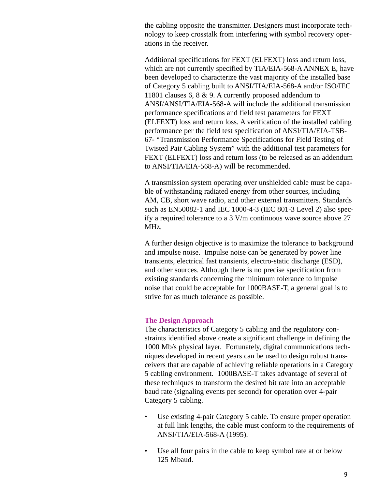the cabling opposite the transmitter. Designers must incorporate technology to keep crosstalk from interfering with symbol recovery operations in the receiver.

Additional specifications for FEXT (ELFEXT) loss and return loss, which are not currently specified by TIA/EIA-568-A ANNEX E, have been developed to characterize the vast majority of the installed base of Category 5 cabling built to ANSI/TIA/EIA-568-A and/or ISO/IEC 11801 clauses 6, 8 & 9. A currently proposed addendum to ANSI/ANSI/TIA/EIA-568-A will include the additional transmission performance specifications and field test parameters for FEXT (ELFEXT) loss and return loss. A verification of the installed cabling performance per the field test specification of ANSI/TIA/EIA-TSB-67- "Transmission Performance Specifications for Field Testing of Twisted Pair Cabling System" with the additional test parameters for FEXT (ELFEXT) loss and return loss (to be released as an addendum to ANSI/TIA/EIA-568-A) will be recommended.

A transmission system operating over unshielded cable must be capable of withstanding radiated energy from other sources, including AM, CB, short wave radio, and other external transmitters. Standards such as EN50082-1 and IEC 1000-4-3 (IEC 801-3 Level 2) also specify a required tolerance to a 3 V/m continuous wave source above 27 MHz.

A further design objective is to maximize the tolerance to background and impulse noise. Impulse noise can be generated by power line transients, electrical fast transients, electro-static discharge (ESD), and other sources. Although there is no precise specification from existing standards concerning the minimum tolerance to impulse noise that could be acceptable for 1000BASE-T, a general goal is to strive for as much tolerance as possible.

#### **The Design Approach**

The characteristics of Category 5 cabling and the regulatory constraints identified above create a significant challenge in defining the 1000 Mb/s physical layer. Fortunately, digital communications techniques developed in recent years can be used to design robust transceivers that are capable of achieving reliable operations in a Category 5 cabling environment. 1000BASE-T takes advantage of several of these techniques to transform the desired bit rate into an acceptable baud rate (signaling events per second) for operation over 4-pair Category 5 cabling.

- Use existing 4-pair Category 5 cable. To ensure proper operation at full link lengths, the cable must conform to the requirements of ANSI/TIA/EIA-568-A (1995).
- Use all four pairs in the cable to keep symbol rate at or below 125 Mbaud.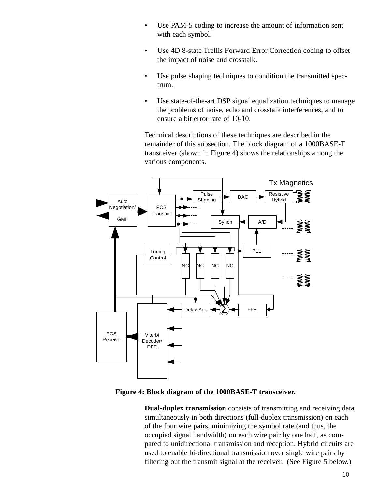- Use PAM-5 coding to increase the amount of information sent with each symbol.
- Use 4D 8-state Trellis Forward Error Correction coding to offset the impact of noise and crosstalk.
- Use pulse shaping techniques to condition the transmitted spectrum.
- Use state-of-the-art DSP signal equalization techniques to manage the problems of noise, echo and crosstalk interferences, and to ensure a bit error rate of 10-10.

Technical descriptions of these techniques are described in the remainder of this subsection. The block diagram of a 1000BASE-T transceiver (shown in Figure 4) shows the relationships among the various components.



#### **Figure 4: Block diagram of the 1000BASE-T transceiver.**

**Dual-duplex transmission** consists of transmitting and receiving data simultaneously in both directions (full-duplex transmission) on each of the four wire pairs, minimizing the symbol rate (and thus, the occupied signal bandwidth) on each wire pair by one half, as compared to unidirectional transmission and reception. Hybrid circuits are used to enable bi-directional transmission over single wire pairs by filtering out the transmit signal at the receiver. (See Figure 5 below.)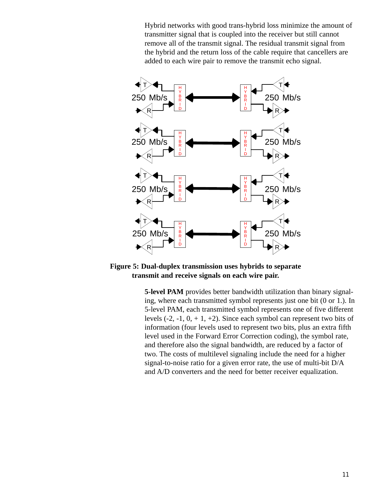Hybrid networks with good trans-hybrid loss minimize the amount of transmitter signal that is coupled into the receiver but still cannot remove all of the transmit signal. The residual transmit signal from the hybrid and the return loss of the cable require that cancellers are added to each wire pair to remove the transmit echo signal.



**Figure 5: Dual-duplex transmission uses hybrids to separate transmit and receive signals on each wire pair.**

**5-level PAM** provides better bandwidth utilization than binary signaling, where each transmitted symbol represents just one bit (0 or 1.). In 5-level PAM, each transmitted symbol represents one of five different levels  $(-2, -1, 0, +1, +2)$ . Since each symbol can represent two bits of information (four levels used to represent two bits, plus an extra fifth level used in the Forward Error Correction coding), the symbol rate, and therefore also the signal bandwidth, are reduced by a factor of two. The costs of multilevel signaling include the need for a higher signal-to-noise ratio for a given error rate, the use of multi-bit D/A and A/D converters and the need for better receiver equalization.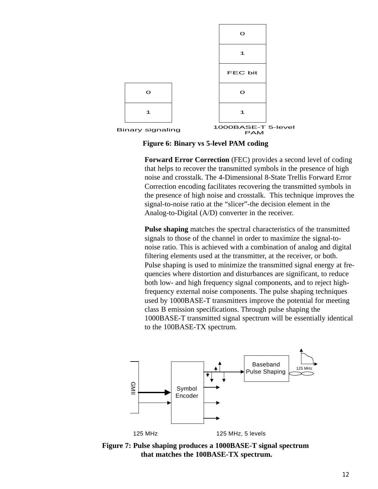

**Figure 6: Binary vs 5-level PAM coding**

**Forward Error Correction** (FEC) provides a second level of coding that helps to recover the transmitted symbols in the presence of high noise and crosstalk. The 4-Dimensional 8-State Trellis Forward Error Correction encoding facilitates recovering the transmitted symbols in the presence of high noise and crosstalk. This technique improves the signal-to-noise ratio at the "slicer"-the decision element in the Analog-to-Digital (A/D) converter in the receiver.

**Pulse shaping** matches the spectral characteristics of the transmitted signals to those of the channel in order to maximize the signal-tonoise ratio. This is achieved with a combination of analog and digital filtering elements used at the transmitter, at the receiver, or both. Pulse shaping is used to minimize the transmitted signal energy at frequencies where distortion and disturbances are significant, to reduce both low- and high frequency signal components, and to reject highfrequency external noise components. The pulse shaping techniques used by 1000BASE-T transmitters improve the potential for meeting class B emission specifications. Through pulse shaping the 1000BASE-T transmitted signal spectrum will be essentially identical to the 100BASE-TX spectrum.



**Figure 7: Pulse shaping produces a 1000BASE-T signal spectrum that matches the 100BASE-TX spectrum.**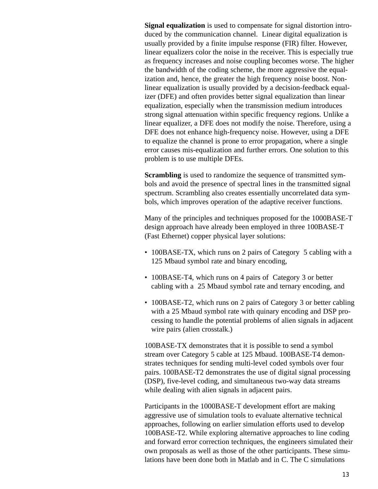**Signal equalization** is used to compensate for signal distortion introduced by the communication channel. Linear digital equalization is usually provided by a finite impulse response (FIR) filter. However, linear equalizers color the noise in the receiver. This is especially true as frequency increases and noise coupling becomes worse. The higher the bandwidth of the coding scheme, the more aggressive the equalization and, hence, the greater the high frequency noise boost. Nonlinear equalization is usually provided by a decision-feedback equalizer (DFE) and often provides better signal equalization than linear equalization, especially when the transmission medium introduces strong signal attenuation within specific frequency regions. Unlike a linear equalizer, a DFE does not modify the noise. Therefore, using a DFE does not enhance high-frequency noise. However, using a DFE to equalize the channel is prone to error propagation, where a single error causes mis-equalization and further errors. One solution to this problem is to use multiple DFEs.

**Scrambling** is used to randomize the sequence of transmitted symbols and avoid the presence of spectral lines in the transmitted signal spectrum. Scrambling also creates essentially uncorrelated data symbols, which improves operation of the adaptive receiver functions.

Many of the principles and techniques proposed for the 1000BASE-T design approach have already been employed in three 100BASE-T (Fast Ethernet) copper physical layer solutions:

- 100BASE-TX, which runs on 2 pairs of Category 5 cabling with a 125 Mbaud symbol rate and binary encoding,
- 100BASE-T4, which runs on 4 pairs of Category 3 or better cabling with a 25 Mbaud symbol rate and ternary encoding, and
- 100BASE-T2, which runs on 2 pairs of Category 3 or better cabling with a 25 Mbaud symbol rate with quinary encoding and DSP processing to handle the potential problems of alien signals in adjacent wire pairs (alien crosstalk.)

100BASE-TX demonstrates that it is possible to send a symbol stream over Category 5 cable at 125 Mbaud. 100BASE-T4 demonstrates techniques for sending multi-level coded symbols over four pairs. 100BASE-T2 demonstrates the use of digital signal processing (DSP), five-level coding, and simultaneous two-way data streams while dealing with alien signals in adjacent pairs.

Participants in the 1000BASE-T development effort are making aggressive use of simulation tools to evaluate alternative technical approaches, following on earlier simulation efforts used to develop 100BASE-T2. While exploring alternative approaches to line coding and forward error correction techniques, the engineers simulated their own proposals as well as those of the other participants. These simulations have been done both in Matlab and in C. The C simulations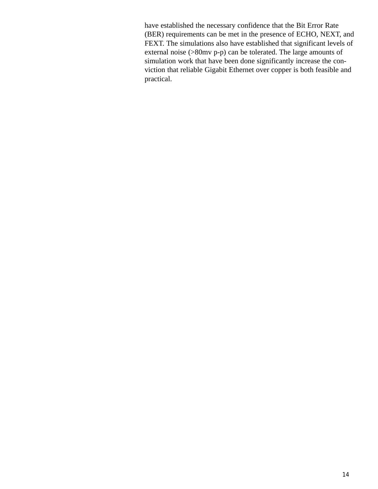have established the necessary confidence that the Bit Error Rate (BER) requirements can be met in the presence of ECHO, NEXT, and FEXT. The simulations also have established that significant levels of external noise (>80mv p-p) can be tolerated. The large amounts of simulation work that have been done significantly increase the conviction that reliable Gigabit Ethernet over copper is both feasible and practical.